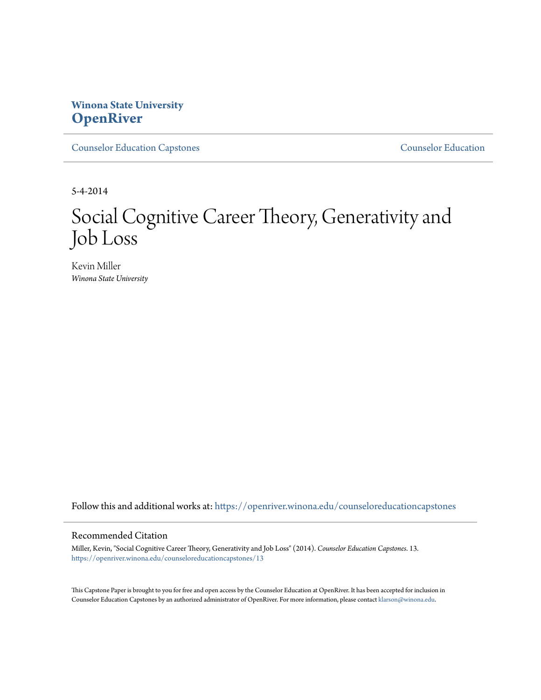# **Winona State University [OpenRiver](https://openriver.winona.edu?utm_source=openriver.winona.edu%2Fcounseloreducationcapstones%2F13&utm_medium=PDF&utm_campaign=PDFCoverPages)**

[Counselor Education Capstones](https://openriver.winona.edu/counseloreducationcapstones?utm_source=openriver.winona.edu%2Fcounseloreducationcapstones%2F13&utm_medium=PDF&utm_campaign=PDFCoverPages) [Counselor Education](https://openriver.winona.edu/counseloreducation?utm_source=openriver.winona.edu%2Fcounseloreducationcapstones%2F13&utm_medium=PDF&utm_campaign=PDFCoverPages)

5-4-2014

# Social Cognitive Career Theory, Generativity and Job Loss

Kevin Miller *Winona State University*

Follow this and additional works at: [https://openriver.winona.edu/counseloreducationcapstones](https://openriver.winona.edu/counseloreducationcapstones?utm_source=openriver.winona.edu%2Fcounseloreducationcapstones%2F13&utm_medium=PDF&utm_campaign=PDFCoverPages)

# Recommended Citation

Miller, Kevin, "Social Cognitive Career Theory, Generativity and Job Loss" (2014). *Counselor Education Capstones*. 13. [https://openriver.winona.edu/counseloreducationcapstones/13](https://openriver.winona.edu/counseloreducationcapstones/13?utm_source=openriver.winona.edu%2Fcounseloreducationcapstones%2F13&utm_medium=PDF&utm_campaign=PDFCoverPages)

This Capstone Paper is brought to you for free and open access by the Counselor Education at OpenRiver. It has been accepted for inclusion in Counselor Education Capstones by an authorized administrator of OpenRiver. For more information, please contact [klarson@winona.edu](mailto:klarson@winona.edu).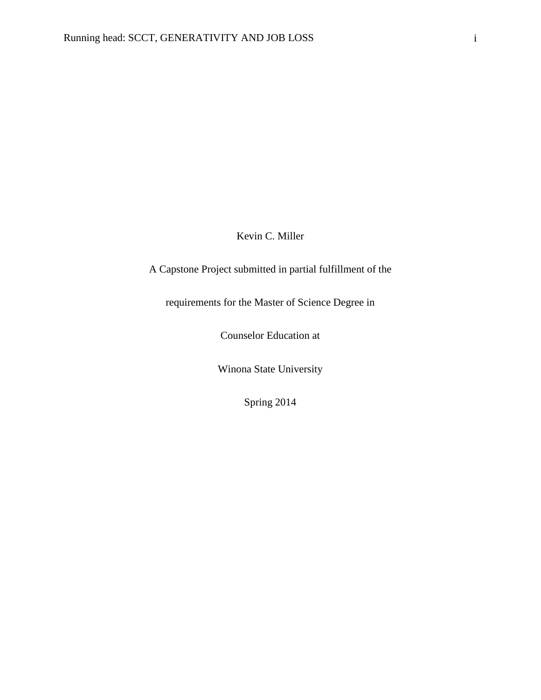Kevin C. Miller

A Capstone Project submitted in partial fulfillment of the

requirements for the Master of Science Degree in

Counselor Education at

Winona State University

Spring 2014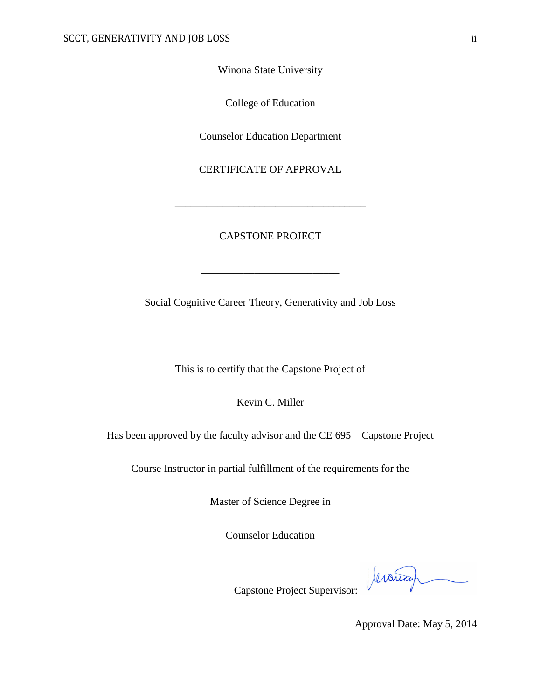Winona State University

College of Education

Counselor Education Department

CERTIFICATE OF APPROVAL

# CAPSTONE PROJECT

\_\_\_\_\_\_\_\_\_\_\_\_\_\_\_\_\_\_\_\_\_\_\_\_\_\_

\_\_\_\_\_\_\_\_\_\_\_\_\_\_\_\_\_\_\_\_\_\_\_\_\_\_\_\_\_\_\_\_\_\_\_\_

Social Cognitive Career Theory, Generativity and Job Loss

This is to certify that the Capstone Project of

Kevin C. Miller

Has been approved by the faculty advisor and the CE 695 – Capstone Project

Course Instructor in partial fulfillment of the requirements for the

Master of Science Degree in

Counselor Education

Jeranica

Capstone Project Supervisor:

Approval Date: May 5, 2014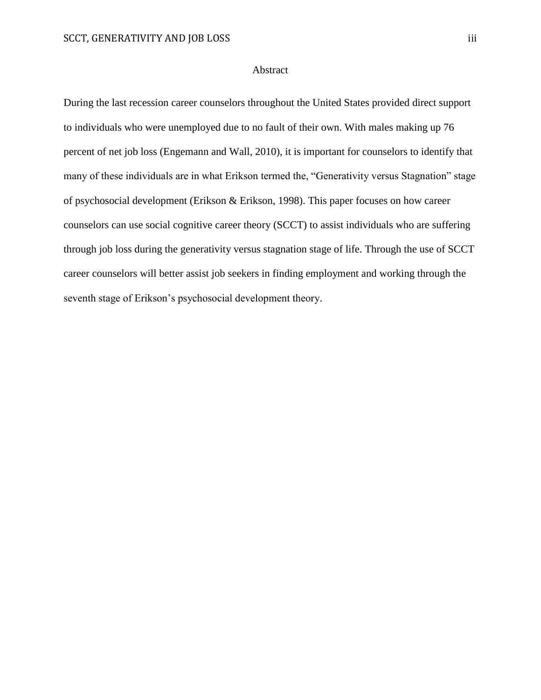# Abstract

During the last recession career counselors throughout the United States provided direct support to individuals who were unemployed due to no fault of their own. With males making up 76 percent of net job loss (Engemann and Wall, 2010), it is important for counselors to identify that many of these individuals are in what Erikson termed the, "Generativity versus Stagnation" stage of psychosocial development (Erikson & Erikson, 1998). This paper focuses on how career counselors can use social cognitive career theory (SCCT) to assist individuals who are suffering through job loss during the generativity versus stagnation stage of life. Through the use of SCCT career counselors will better assist job seekers in finding employment and working through the seventh stage of Erikson's psychosocial development theory.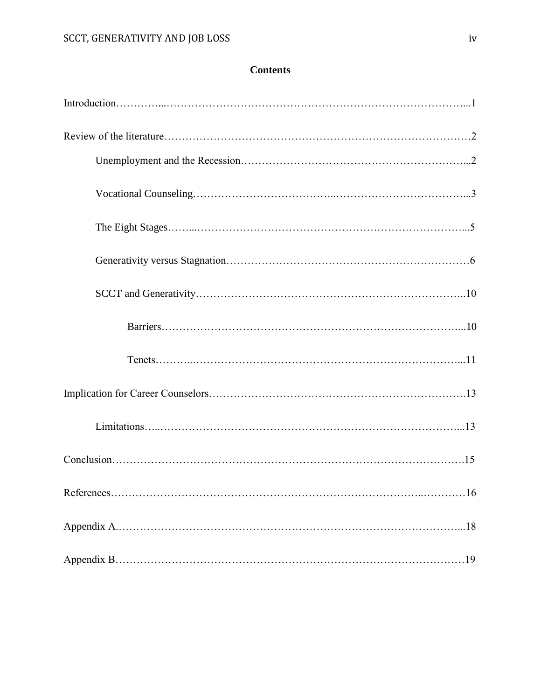# **Contents**

| References<br>.16 |
|-------------------|
|                   |
|                   |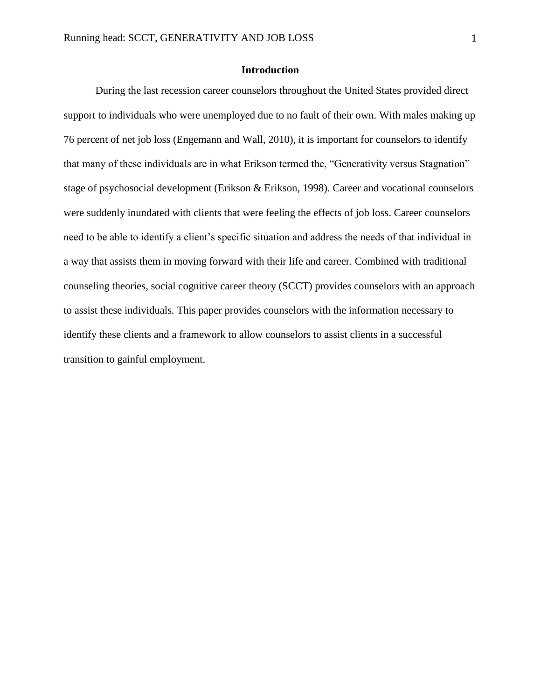# **Introduction**

During the last recession career counselors throughout the United States provided direct support to individuals who were unemployed due to no fault of their own. With males making up 76 percent of net job loss (Engemann and Wall, 2010), it is important for counselors to identify that many of these individuals are in what Erikson termed the, "Generativity versus Stagnation" stage of psychosocial development (Erikson & Erikson, 1998). Career and vocational counselors were suddenly inundated with clients that were feeling the effects of job loss. Career counselors need to be able to identify a client's specific situation and address the needs of that individual in a way that assists them in moving forward with their life and career. Combined with traditional counseling theories, social cognitive career theory (SCCT) provides counselors with an approach to assist these individuals. This paper provides counselors with the information necessary to identify these clients and a framework to allow counselors to assist clients in a successful transition to gainful employment.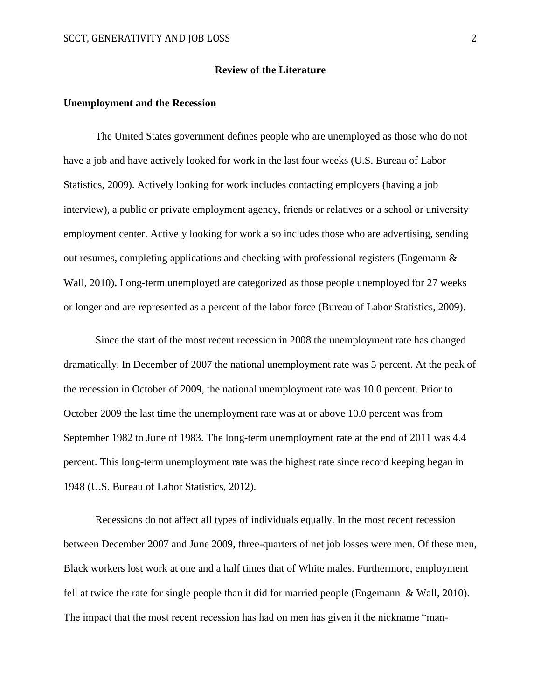#### **Review of the Literature**

#### **Unemployment and the Recession**

The United States government defines people who are unemployed as those who do not have a job and have actively looked for work in the last four weeks (U.S. Bureau of Labor Statistics, 2009). Actively looking for work includes contacting employers (having a job interview), a public or private employment agency, friends or relatives or a school or university employment center. Actively looking for work also includes those who are advertising, sending out resumes, completing applications and checking with professional registers (Engemann  $\&$ Wall, 2010)**.** Long-term unemployed are categorized as those people unemployed for 27 weeks or longer and are represented as a percent of the labor force (Bureau of Labor Statistics, 2009).

Since the start of the most recent recession in 2008 the unemployment rate has changed dramatically. In December of 2007 the national unemployment rate was 5 percent. At the peak of the recession in October of 2009, the national unemployment rate was 10.0 percent. Prior to October 2009 the last time the unemployment rate was at or above 10.0 percent was from September 1982 to June of 1983. The long-term unemployment rate at the end of 2011 was 4.4 percent. This long-term unemployment rate was the highest rate since record keeping began in 1948 (U.S. Bureau of Labor Statistics, 2012).

Recessions do not affect all types of individuals equally. In the most recent recession between December 2007 and June 2009, three-quarters of net job losses were men. Of these men, Black workers lost work at one and a half times that of White males. Furthermore, employment fell at twice the rate for single people than it did for married people (Engemann & Wall, 2010). The impact that the most recent recession has had on men has given it the nickname "man-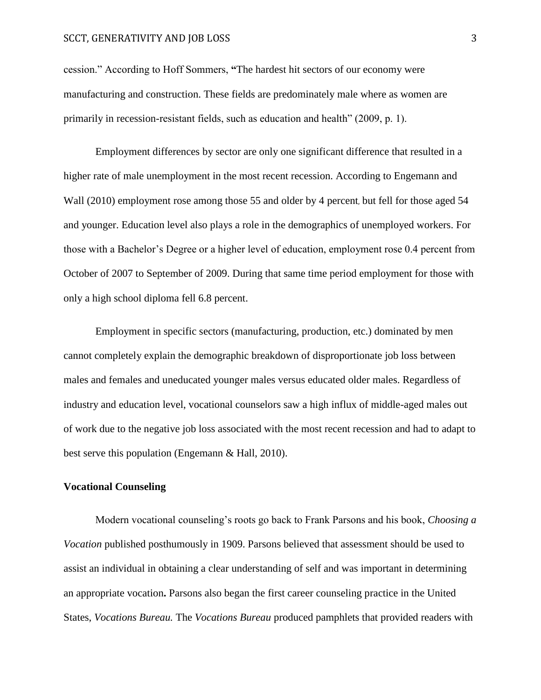#### SCCT, GENERATIVITY AND JOB LOSS 3

cession." According to Hoff Sommers, **"**The hardest hit sectors of our economy were manufacturing and construction. These fields are predominately male where as women are primarily in recession-resistant fields, such as education and health" (2009, p. 1).

Employment differences by sector are only one significant difference that resulted in a higher rate of male unemployment in the most recent recession. According to Engemann and Wall (2010) employment rose among those 55 and older by 4 percent, but fell for those aged 54 and younger. Education level also plays a role in the demographics of unemployed workers. For those with a Bachelor's Degree or a higher level of education, employment rose 0.4 percent from October of 2007 to September of 2009. During that same time period employment for those with only a high school diploma fell 6.8 percent.

Employment in specific sectors (manufacturing, production, etc.) dominated by men cannot completely explain the demographic breakdown of disproportionate job loss between males and females and uneducated younger males versus educated older males. Regardless of industry and education level, vocational counselors saw a high influx of middle-aged males out of work due to the negative job loss associated with the most recent recession and had to adapt to best serve this population (Engemann & Hall, 2010).

## **Vocational Counseling**

Modern vocational counseling's roots go back to Frank Parsons and his book, *Choosing a Vocation* published posthumously in 1909. Parsons believed that assessment should be used to assist an individual in obtaining a clear understanding of self and was important in determining an appropriate vocation**.** Parsons also began the first career counseling practice in the United States, *Vocations Bureau.* The *Vocations Bureau* produced pamphlets that provided readers with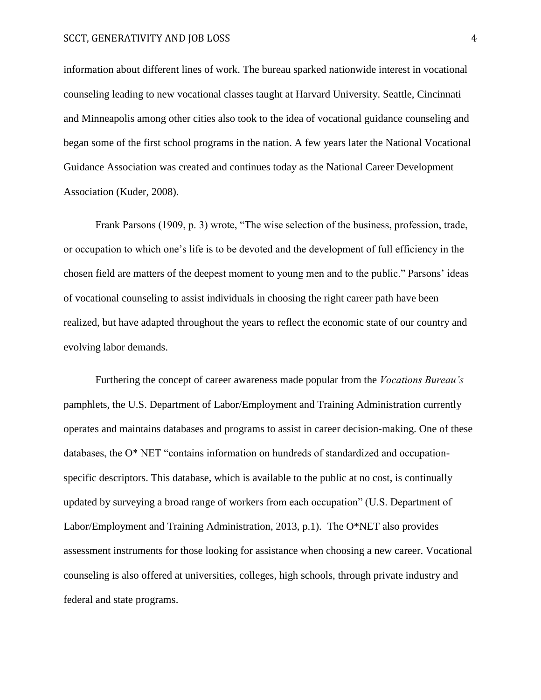#### SCCT, GENERATIVITY AND JOB LOSS 4

information about different lines of work. The bureau sparked nationwide interest in vocational counseling leading to new vocational classes taught at Harvard University. Seattle, Cincinnati and Minneapolis among other cities also took to the idea of vocational guidance counseling and began some of the first school programs in the nation. A few years later the National Vocational Guidance Association was created and continues today as the National Career Development Association (Kuder, 2008).

Frank Parsons (1909, p. 3) wrote, "The wise selection of the business, profession, trade, or occupation to which one's life is to be devoted and the development of full efficiency in the chosen field are matters of the deepest moment to young men and to the public." Parsons' ideas of vocational counseling to assist individuals in choosing the right career path have been realized, but have adapted throughout the years to reflect the economic state of our country and evolving labor demands.

Furthering the concept of career awareness made popular from the *Vocations Bureau's*  pamphlets, the U.S. Department of Labor/Employment and Training Administration currently operates and maintains databases and programs to assist in career decision-making. One of these databases, the O\* NET "contains information on hundreds of standardized and occupationspecific descriptors. This database, which is available to the public at no cost, is continually updated by surveying a broad range of workers from each occupation" (U.S. Department of Labor/Employment and Training Administration, 2013, p.1). The O\*NET also provides assessment instruments for those looking for assistance when choosing a new career. Vocational counseling is also offered at universities, colleges, high schools, through private industry and federal and state programs.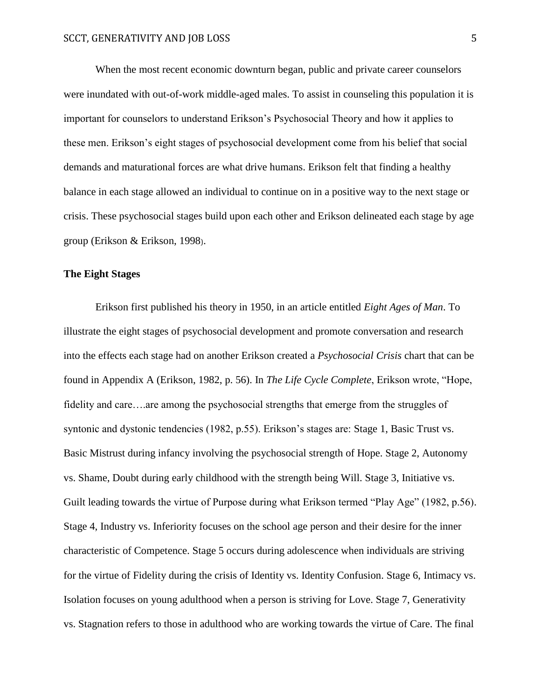When the most recent economic downturn began, public and private career counselors were inundated with out-of-work middle-aged males. To assist in counseling this population it is important for counselors to understand Erikson's Psychosocial Theory and how it applies to these men. Erikson's eight stages of psychosocial development come from his belief that social demands and maturational forces are what drive humans. Erikson felt that finding a healthy balance in each stage allowed an individual to continue on in a positive way to the next stage or crisis. These psychosocial stages build upon each other and Erikson delineated each stage by age group (Erikson & Erikson, 1998).

# **The Eight Stages**

Erikson first published his theory in 1950, in an article entitled *Eight Ages of Man*. To illustrate the eight stages of psychosocial development and promote conversation and research into the effects each stage had on another Erikson created a *Psychosocial Crisis* chart that can be found in Appendix A (Erikson, 1982, p. 56). In *The Life Cycle Complete*, Erikson wrote, "Hope, fidelity and care….are among the psychosocial strengths that emerge from the struggles of syntonic and dystonic tendencies (1982, p.55). Erikson's stages are: Stage 1, Basic Trust vs. Basic Mistrust during infancy involving the psychosocial strength of Hope. Stage 2, Autonomy vs. Shame, Doubt during early childhood with the strength being Will. Stage 3, Initiative vs. Guilt leading towards the virtue of Purpose during what Erikson termed "Play Age" (1982, p.56). Stage 4, Industry vs. Inferiority focuses on the school age person and their desire for the inner characteristic of Competence. Stage 5 occurs during adolescence when individuals are striving for the virtue of Fidelity during the crisis of Identity vs. Identity Confusion. Stage 6, Intimacy vs. Isolation focuses on young adulthood when a person is striving for Love. Stage 7, Generativity vs. Stagnation refers to those in adulthood who are working towards the virtue of Care. The final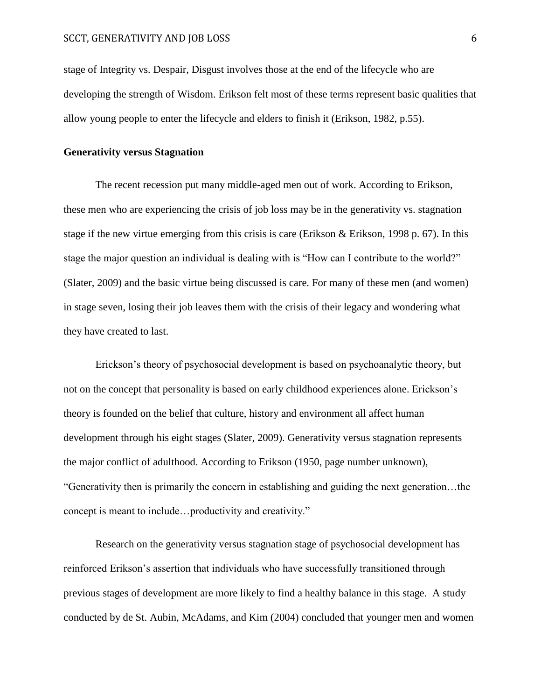stage of Integrity vs. Despair, Disgust involves those at the end of the lifecycle who are developing the strength of Wisdom. Erikson felt most of these terms represent basic qualities that allow young people to enter the lifecycle and elders to finish it (Erikson, 1982, p.55).

# **Generativity versus Stagnation**

The recent recession put many middle-aged men out of work. According to Erikson, these men who are experiencing the crisis of job loss may be in the generativity vs. stagnation stage if the new virtue emerging from this crisis is care (Erikson & Erikson, 1998 p. 67). In this stage the major question an individual is dealing with is "How can I contribute to the world?" (Slater, 2009) and the basic virtue being discussed is care. For many of these men (and women) in stage seven, losing their job leaves them with the crisis of their legacy and wondering what they have created to last.

Erickson's theory of psychosocial development is based on psychoanalytic theory, but not on the concept that personality is based on early childhood experiences alone. Erickson's theory is founded on the belief that culture, history and environment all affect human development through his eight stages (Slater, 2009). Generativity versus stagnation represents the major conflict of adulthood. According to Erikson (1950, page number unknown), "Generativity then is primarily the concern in establishing and guiding the next generation…the concept is meant to include…productivity and creativity."

Research on the generativity versus stagnation stage of psychosocial development has reinforced Erikson's assertion that individuals who have successfully transitioned through previous stages of development are more likely to find a healthy balance in this stage. A study conducted by de St. Aubin, McAdams, and Kim (2004) concluded that younger men and women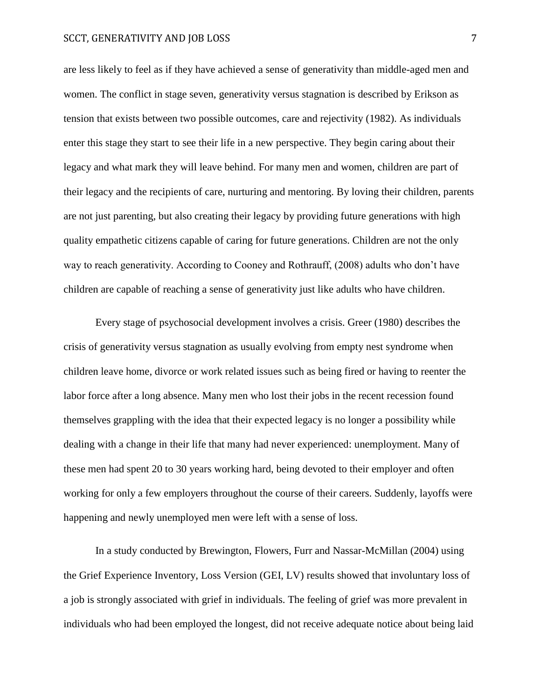#### SCCT, GENERATIVITY AND JOB LOSS 7

are less likely to feel as if they have achieved a sense of generativity than middle-aged men and women. The conflict in stage seven, generativity versus stagnation is described by Erikson as tension that exists between two possible outcomes, care and rejectivity (1982). As individuals enter this stage they start to see their life in a new perspective. They begin caring about their legacy and what mark they will leave behind. For many men and women, children are part of their legacy and the recipients of care, nurturing and mentoring. By loving their children, parents are not just parenting, but also creating their legacy by providing future generations with high quality empathetic citizens capable of caring for future generations. Children are not the only way to reach generativity. According to Cooney and Rothrauff, (2008) adults who don't have children are capable of reaching a sense of generativity just like adults who have children.

Every stage of psychosocial development involves a crisis. Greer (1980) describes the crisis of generativity versus stagnation as usually evolving from empty nest syndrome when children leave home, divorce or work related issues such as being fired or having to reenter the labor force after a long absence. Many men who lost their jobs in the recent recession found themselves grappling with the idea that their expected legacy is no longer a possibility while dealing with a change in their life that many had never experienced: unemployment. Many of these men had spent 20 to 30 years working hard, being devoted to their employer and often working for only a few employers throughout the course of their careers. Suddenly, layoffs were happening and newly unemployed men were left with a sense of loss.

In a study conducted by Brewington, Flowers, Furr and Nassar-McMillan (2004) using the Grief Experience Inventory, Loss Version (GEI, LV) results showed that involuntary loss of a job is strongly associated with grief in individuals. The feeling of grief was more prevalent in individuals who had been employed the longest, did not receive adequate notice about being laid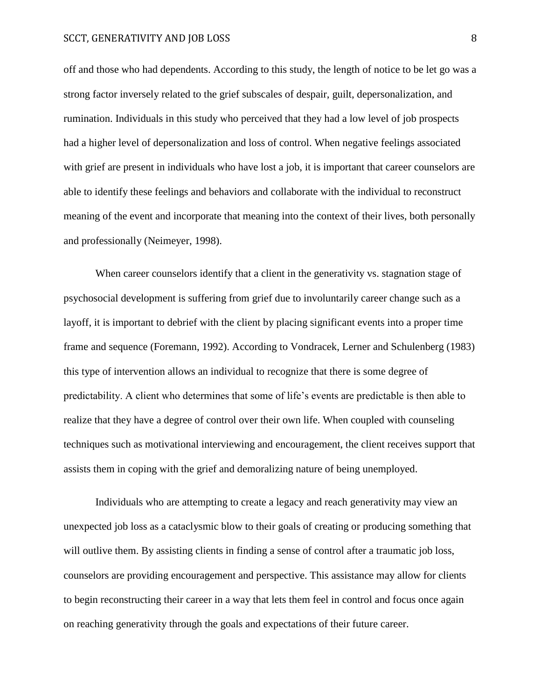#### SCCT, GENERATIVITY AND JOB LOSS 8

off and those who had dependents. According to this study, the length of notice to be let go was a strong factor inversely related to the grief subscales of despair, guilt, depersonalization, and rumination. Individuals in this study who perceived that they had a low level of job prospects had a higher level of depersonalization and loss of control. When negative feelings associated with grief are present in individuals who have lost a job, it is important that career counselors are able to identify these feelings and behaviors and collaborate with the individual to reconstruct meaning of the event and incorporate that meaning into the context of their lives, both personally and professionally (Neimeyer, 1998).

When career counselors identify that a client in the generativity vs. stagnation stage of psychosocial development is suffering from grief due to involuntarily career change such as a layoff, it is important to debrief with the client by placing significant events into a proper time frame and sequence (Foremann, 1992). According to Vondracek, Lerner and Schulenberg (1983) this type of intervention allows an individual to recognize that there is some degree of predictability. A client who determines that some of life's events are predictable is then able to realize that they have a degree of control over their own life. When coupled with counseling techniques such as motivational interviewing and encouragement, the client receives support that assists them in coping with the grief and demoralizing nature of being unemployed.

Individuals who are attempting to create a legacy and reach generativity may view an unexpected job loss as a cataclysmic blow to their goals of creating or producing something that will outlive them. By assisting clients in finding a sense of control after a traumatic job loss, counselors are providing encouragement and perspective. This assistance may allow for clients to begin reconstructing their career in a way that lets them feel in control and focus once again on reaching generativity through the goals and expectations of their future career.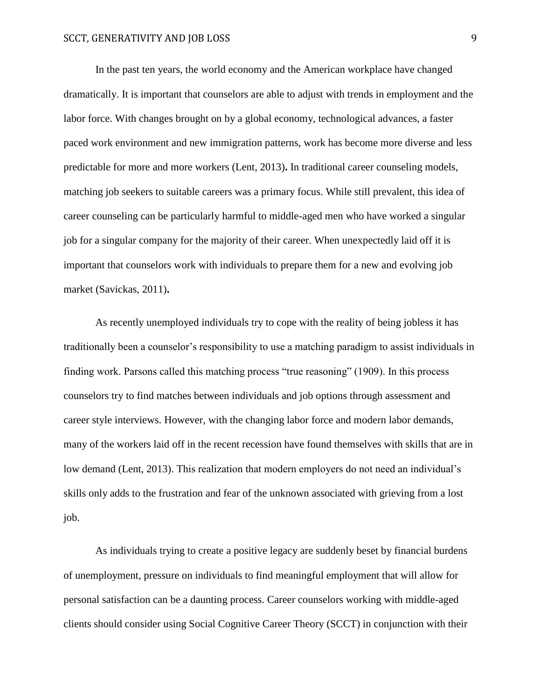In the past ten years, the world economy and the American workplace have changed dramatically. It is important that counselors are able to adjust with trends in employment and the labor force. With changes brought on by a global economy, technological advances, a faster paced work environment and new immigration patterns, work has become more diverse and less predictable for more and more workers (Lent, 2013)**.** In traditional career counseling models, matching job seekers to suitable careers was a primary focus. While still prevalent, this idea of career counseling can be particularly harmful to middle-aged men who have worked a singular job for a singular company for the majority of their career. When unexpectedly laid off it is important that counselors work with individuals to prepare them for a new and evolving job market (Savickas, 2011)**.** 

As recently unemployed individuals try to cope with the reality of being jobless it has traditionally been a counselor's responsibility to use a matching paradigm to assist individuals in finding work. Parsons called this matching process "true reasoning" (1909). In this process counselors try to find matches between individuals and job options through assessment and career style interviews. However, with the changing labor force and modern labor demands, many of the workers laid off in the recent recession have found themselves with skills that are in low demand (Lent, 2013). This realization that modern employers do not need an individual's skills only adds to the frustration and fear of the unknown associated with grieving from a lost job.

As individuals trying to create a positive legacy are suddenly beset by financial burdens of unemployment, pressure on individuals to find meaningful employment that will allow for personal satisfaction can be a daunting process. Career counselors working with middle-aged clients should consider using Social Cognitive Career Theory (SCCT) in conjunction with their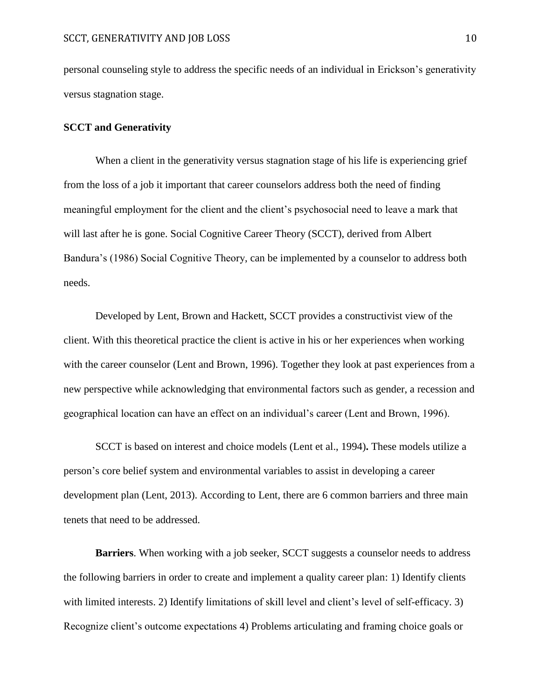personal counseling style to address the specific needs of an individual in Erickson's generativity versus stagnation stage.

#### **SCCT and Generativity**

When a client in the generativity versus stagnation stage of his life is experiencing grief from the loss of a job it important that career counselors address both the need of finding meaningful employment for the client and the client's psychosocial need to leave a mark that will last after he is gone. Social Cognitive Career Theory (SCCT), derived from Albert Bandura's (1986) Social Cognitive Theory, can be implemented by a counselor to address both needs.

Developed by Lent, Brown and Hackett, SCCT provides a constructivist view of the client. With this theoretical practice the client is active in his or her experiences when working with the career counselor (Lent and Brown, 1996). Together they look at past experiences from a new perspective while acknowledging that environmental factors such as gender, a recession and geographical location can have an effect on an individual's career (Lent and Brown, 1996).

SCCT is based on interest and choice models (Lent et al., 1994)**.** These models utilize a person's core belief system and environmental variables to assist in developing a career development plan (Lent, 2013). According to Lent, there are 6 common barriers and three main tenets that need to be addressed.

**Barriers**. When working with a job seeker, SCCT suggests a counselor needs to address the following barriers in order to create and implement a quality career plan: 1) Identify clients with limited interests. 2) Identify limitations of skill level and client's level of self-efficacy. 3) Recognize client's outcome expectations 4) Problems articulating and framing choice goals or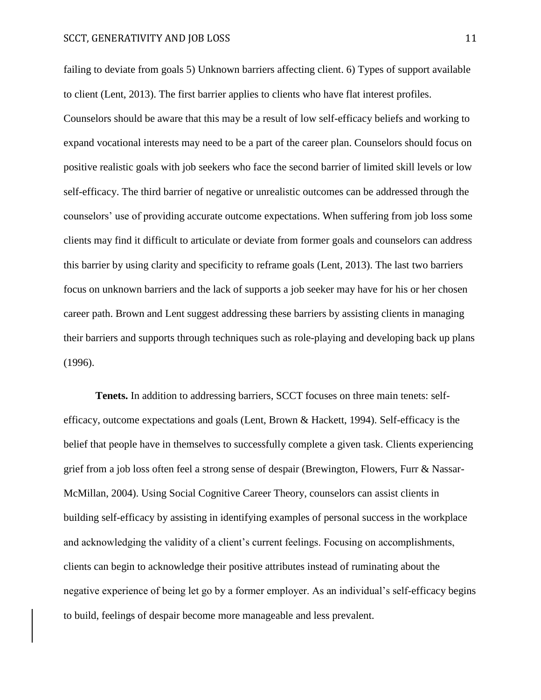failing to deviate from goals 5) Unknown barriers affecting client. 6) Types of support available to client (Lent, 2013). The first barrier applies to clients who have flat interest profiles. Counselors should be aware that this may be a result of low self-efficacy beliefs and working to expand vocational interests may need to be a part of the career plan. Counselors should focus on positive realistic goals with job seekers who face the second barrier of limited skill levels or low self-efficacy. The third barrier of negative or unrealistic outcomes can be addressed through the counselors' use of providing accurate outcome expectations. When suffering from job loss some clients may find it difficult to articulate or deviate from former goals and counselors can address this barrier by using clarity and specificity to reframe goals (Lent, 2013). The last two barriers focus on unknown barriers and the lack of supports a job seeker may have for his or her chosen career path. Brown and Lent suggest addressing these barriers by assisting clients in managing their barriers and supports through techniques such as role-playing and developing back up plans (1996).

**Tenets.** In addition to addressing barriers, SCCT focuses on three main tenets: selfefficacy, outcome expectations and goals (Lent, Brown & Hackett, 1994). Self-efficacy is the belief that people have in themselves to successfully complete a given task. Clients experiencing grief from a job loss often feel a strong sense of despair (Brewington, Flowers, Furr & Nassar-McMillan, 2004). Using Social Cognitive Career Theory, counselors can assist clients in building self-efficacy by assisting in identifying examples of personal success in the workplace and acknowledging the validity of a client's current feelings. Focusing on accomplishments, clients can begin to acknowledge their positive attributes instead of ruminating about the negative experience of being let go by a former employer. As an individual's self-efficacy begins to build, feelings of despair become more manageable and less prevalent.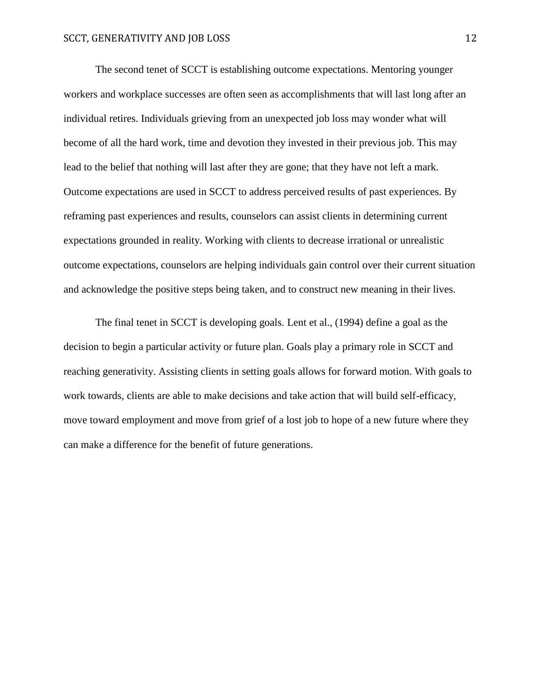The second tenet of SCCT is establishing outcome expectations. Mentoring younger workers and workplace successes are often seen as accomplishments that will last long after an individual retires. Individuals grieving from an unexpected job loss may wonder what will become of all the hard work, time and devotion they invested in their previous job. This may lead to the belief that nothing will last after they are gone; that they have not left a mark. Outcome expectations are used in SCCT to address perceived results of past experiences. By reframing past experiences and results, counselors can assist clients in determining current expectations grounded in reality. Working with clients to decrease irrational or unrealistic outcome expectations, counselors are helping individuals gain control over their current situation and acknowledge the positive steps being taken, and to construct new meaning in their lives.

The final tenet in SCCT is developing goals. Lent et al., (1994) define a goal as the decision to begin a particular activity or future plan. Goals play a primary role in SCCT and reaching generativity. Assisting clients in setting goals allows for forward motion. With goals to work towards, clients are able to make decisions and take action that will build self-efficacy, move toward employment and move from grief of a lost job to hope of a new future where they can make a difference for the benefit of future generations.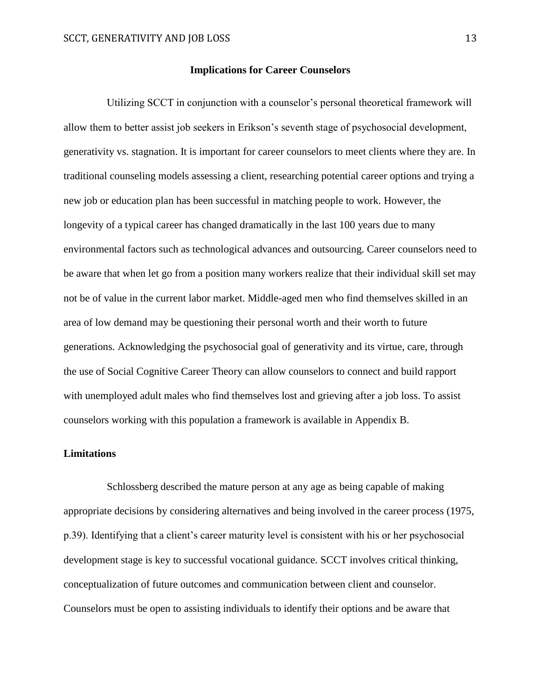#### **Implications for Career Counselors**

 Utilizing SCCT in conjunction with a counselor's personal theoretical framework will allow them to better assist job seekers in Erikson's seventh stage of psychosocial development, generativity vs. stagnation. It is important for career counselors to meet clients where they are. In traditional counseling models assessing a client, researching potential career options and trying a new job or education plan has been successful in matching people to work. However, the longevity of a typical career has changed dramatically in the last 100 years due to many environmental factors such as technological advances and outsourcing. Career counselors need to be aware that when let go from a position many workers realize that their individual skill set may not be of value in the current labor market. Middle-aged men who find themselves skilled in an area of low demand may be questioning their personal worth and their worth to future generations. Acknowledging the psychosocial goal of generativity and its virtue, care, through the use of Social Cognitive Career Theory can allow counselors to connect and build rapport with unemployed adult males who find themselves lost and grieving after a job loss. To assist counselors working with this population a framework is available in Appendix B.

# **Limitations**

Schlossberg described the mature person at any age as being capable of making appropriate decisions by considering alternatives and being involved in the career process (1975, p.39). Identifying that a client's career maturity level is consistent with his or her psychosocial development stage is key to successful vocational guidance. SCCT involves critical thinking, conceptualization of future outcomes and communication between client and counselor. Counselors must be open to assisting individuals to identify their options and be aware that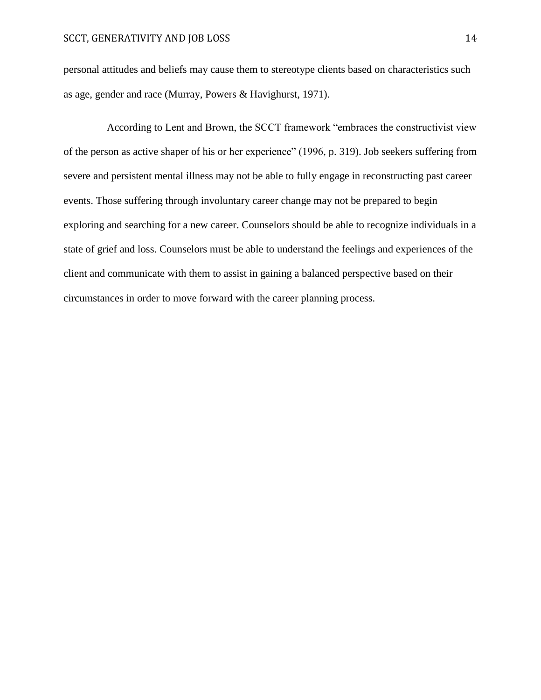personal attitudes and beliefs may cause them to stereotype clients based on characteristics such as age, gender and race (Murray, Powers & Havighurst, 1971).

According to Lent and Brown, the SCCT framework "embraces the constructivist view of the person as active shaper of his or her experience" (1996, p. 319). Job seekers suffering from severe and persistent mental illness may not be able to fully engage in reconstructing past career events. Those suffering through involuntary career change may not be prepared to begin exploring and searching for a new career. Counselors should be able to recognize individuals in a state of grief and loss. Counselors must be able to understand the feelings and experiences of the client and communicate with them to assist in gaining a balanced perspective based on their circumstances in order to move forward with the career planning process.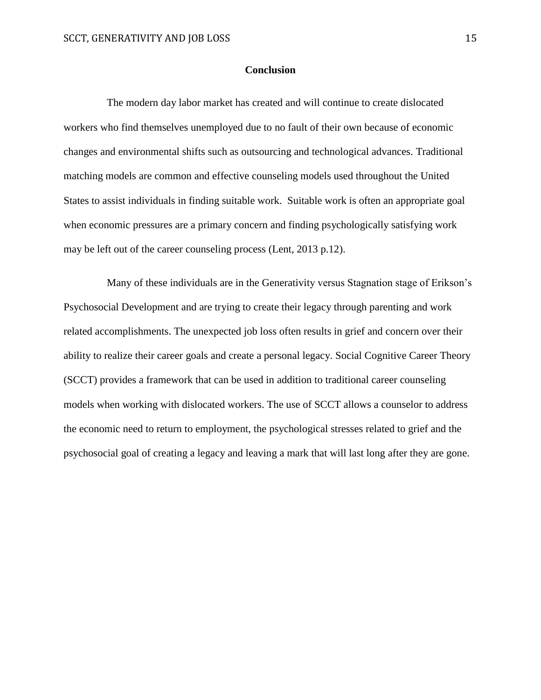# **Conclusion**

The modern day labor market has created and will continue to create dislocated workers who find themselves unemployed due to no fault of their own because of economic changes and environmental shifts such as outsourcing and technological advances. Traditional matching models are common and effective counseling models used throughout the United States to assist individuals in finding suitable work. Suitable work is often an appropriate goal when economic pressures are a primary concern and finding psychologically satisfying work may be left out of the career counseling process (Lent, 2013 p.12).

Many of these individuals are in the Generativity versus Stagnation stage of Erikson's Psychosocial Development and are trying to create their legacy through parenting and work related accomplishments. The unexpected job loss often results in grief and concern over their ability to realize their career goals and create a personal legacy. Social Cognitive Career Theory (SCCT) provides a framework that can be used in addition to traditional career counseling models when working with dislocated workers. The use of SCCT allows a counselor to address the economic need to return to employment, the psychological stresses related to grief and the psychosocial goal of creating a legacy and leaving a mark that will last long after they are gone.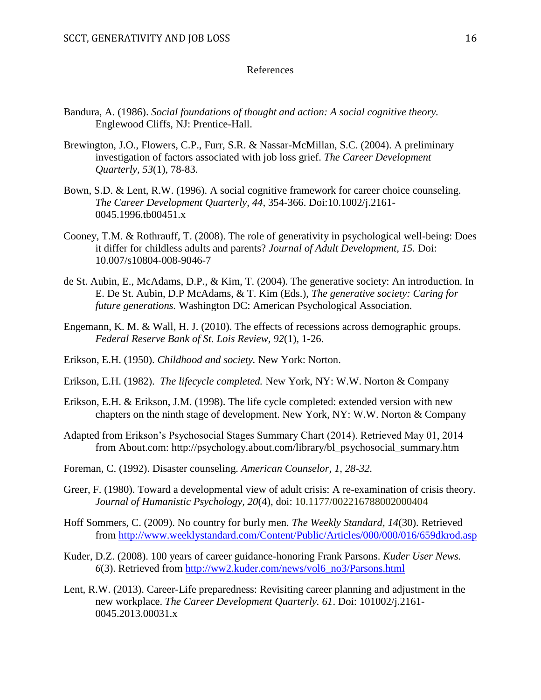#### References

- Bandura, A. (1986). *Social foundations of thought and action: A social cognitive theory.*  Englewood Cliffs, NJ: Prentice-Hall.
- Brewington, J.O., Flowers, C.P., Furr, S.R. & Nassar-McMillan, S.C. (2004). A preliminary investigation of factors associated with job loss grief. *The Career Development Quarterly, 53*(1), 78-83.
- Bown, S.D. & Lent, R.W. (1996). A social cognitive framework for career choice counseling. *The Career Development Quarterly, 44,* 354-366. Doi:10.1002/j.2161- 0045.1996.tb00451.x
- Cooney, T.M. & Rothrauff, T. (2008). The role of generativity in psychological well-being: Does it differ for childless adults and parents? *Journal of Adult Development, 15.* Doi: 10.007/s10804-008-9046-7
- de St. Aubin, E., McAdams, D.P., & Kim, T. (2004). The generative society: An introduction. In E. De St. Aubin, D.P McAdams, & T. Kim (Eds.), *The generative society: Caring for future generations.* Washington DC: American Psychological Association.
- Engemann, K. M. & Wall, H. J. (2010). The effects of recessions across demographic groups. *Federal Reserve Bank of St. Lois Review, 92*(1), 1-26.
- Erikson, E.H. (1950). *Childhood and society.* New York: Norton.
- Erikson, E.H. (1982). *The lifecycle completed.* New York, NY: W.W. Norton & Company
- Erikson, E.H. & Erikson, J.M. (1998). The life cycle completed: extended version with new chapters on the ninth stage of development. New York, NY: W.W. Norton & Company
- Adapted from Erikson's Psychosocial Stages Summary Chart (2014). Retrieved May 01, 2014 from About.com: http://psychology.about.com/library/bl\_psychosocial\_summary.htm
- Foreman, C. (1992). Disaster counseling. *American Counselor, 1, 28-32.*
- Greer, F. (1980). Toward a developmental view of adult crisis: A re-examination of crisis theory. *Journal of Humanistic Psychology, 20*(4), doi: 10.1177/002216788002000404
- Hoff Sommers, C. (2009). No country for burly men. *The Weekly Standard, 14*(30). Retrieved from<http://www.weeklystandard.com/Content/Public/Articles/000/000/016/659dkrod.asp>
- Kuder, D.Z. (2008). 100 years of career guidance-honoring Frank Parsons. *Kuder User News. 6*(3). Retrieved from [http://ww2.kuder.com/news/vol6\\_no3/Parsons.html](http://ww2.kuder.com/news/vol6_no3/Parsons.html)
- Lent, R.W. (2013). Career-Life preparedness: Revisiting career planning and adjustment in the new workplace. *The Career Development Quarterly. 61*. Doi: 101002/j.2161- 0045.2013.00031.x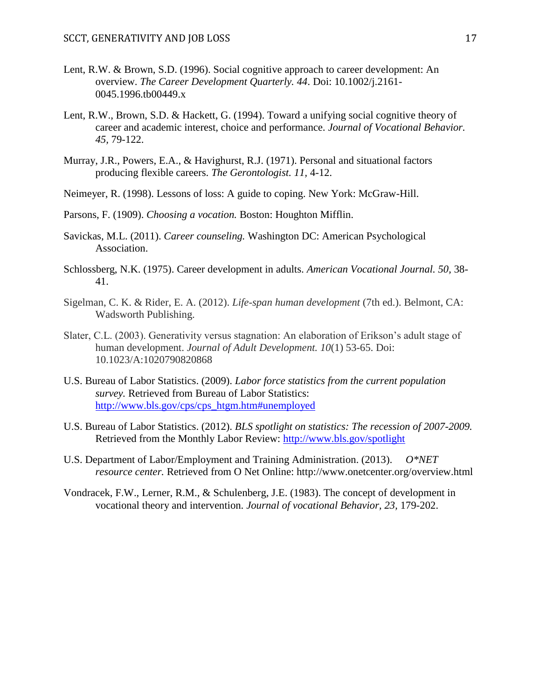- Lent, R.W. & Brown, S.D. (1996). Social cognitive approach to career development: An overview. *The Career Development Quarterly. 44*. Doi: 10.1002/j.2161- 0045.1996.tb00449.x
- Lent, R.W., Brown, S.D. & Hackett, G. (1994). Toward a unifying social cognitive theory of career and academic interest, choice and performance. *Journal of Vocational Behavior. 45,* 79-122.
- Murray, J.R., Powers, E.A., & Havighurst, R.J. (1971). Personal and situational factors producing flexible careers. *The Gerontologist. 11,* 4-12.
- Neimeyer, R. (1998). Lessons of loss: A guide to coping. New York: McGraw-Hill.
- Parsons, F. (1909). *Choosing a vocation.* Boston: Houghton Mifflin.
- Savickas, M.L. (2011). *Career counseling.* Washington DC: American Psychological Association.
- Schlossberg, N.K. (1975). Career development in adults. *American Vocational Journal. 50,* 38- 41.
- Sigelman, C. K. & Rider, E. A. (2012). *Life-span human development* (7th ed.). Belmont, CA: Wadsworth Publishing.
- Slater, C.L. (2003). Generativity versus stagnation: An elaboration of Erikson's adult stage of human development. *Journal of Adult Development. 10*(1) 53-65. Doi: 10.1023/A:1020790820868
- U.S. Bureau of Labor Statistics. (2009). *Labor force statistics from the current population survey.* Retrieved from Bureau of Labor Statistics: [http://www.bls.gov/cps/cps\\_htgm.htm#unemployed](http://www.bls.gov/cps/cps_htgm.htm#unemployed)
- U.S. Bureau of Labor Statistics. (2012). *BLS spotlight on statistics: The recession of 2007-2009.*  Retrieved from the Monthly Labor Review:<http://www.bls.gov/spotlight>
- U.S. Department of Labor/Employment and Training Administration. (2013). *O\*NET resource center.* Retrieved from O Net Online: http://www.onetcenter.org/overview.html
- Vondracek, F.W., Lerner, R.M., & Schulenberg, J.E. (1983). The concept of development in vocational theory and intervention. *Journal of vocational Behavior, 23,* 179-202.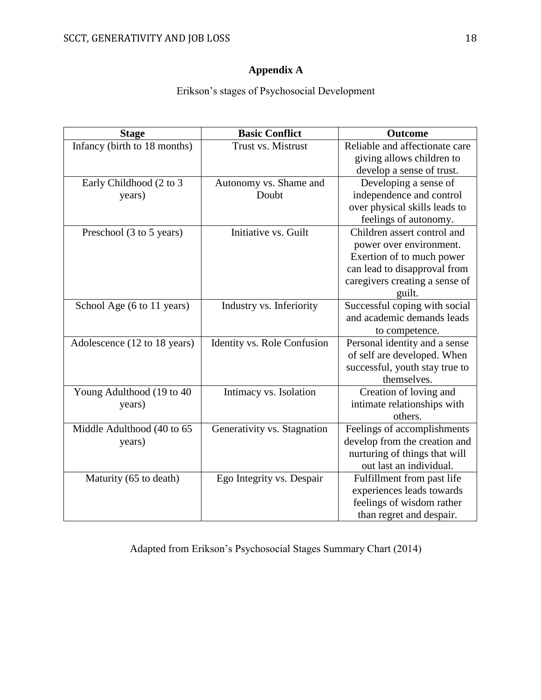# **Appendix A**

Erikson's stages of Psychosocial Development

| <b>Stage</b>                 | <b>Basic Conflict</b>       | <b>Outcome</b>                 |
|------------------------------|-----------------------------|--------------------------------|
| Infancy (birth to 18 months) | Trust vs. Mistrust          | Reliable and affectionate care |
|                              |                             | giving allows children to      |
|                              |                             | develop a sense of trust.      |
| Early Childhood (2 to 3      | Autonomy vs. Shame and      | Developing a sense of          |
| years)                       | Doubt                       | independence and control       |
|                              |                             | over physical skills leads to  |
|                              |                             | feelings of autonomy.          |
| Preschool (3 to 5 years)     | Initiative vs. Guilt        | Children assert control and    |
|                              |                             | power over environment.        |
|                              |                             | Exertion of to much power      |
|                              |                             | can lead to disapproval from   |
|                              |                             | caregivers creating a sense of |
|                              |                             | guilt.                         |
| School Age (6 to 11 years)   | Industry vs. Inferiority    | Successful coping with social  |
|                              |                             | and academic demands leads     |
|                              |                             | to competence.                 |
| Adolescence (12 to 18 years) | Identity vs. Role Confusion | Personal identity and a sense  |
|                              |                             | of self are developed. When    |
|                              |                             | successful, youth stay true to |
|                              |                             | themselves.                    |
| Young Adulthood (19 to 40    | Intimacy vs. Isolation      | Creation of loving and         |
| years)                       |                             | intimate relationships with    |
|                              |                             | others.                        |
| Middle Adulthood (40 to 65   | Generativity vs. Stagnation | Feelings of accomplishments    |
| years)                       |                             | develop from the creation and  |
|                              |                             | nurturing of things that will  |
|                              |                             | out last an individual.        |
| Maturity (65 to death)       | Ego Integrity vs. Despair   | Fulfillment from past life     |
|                              |                             | experiences leads towards      |
|                              |                             | feelings of wisdom rather      |
|                              |                             | than regret and despair.       |

Adapted from Erikson's Psychosocial Stages Summary Chart (2014)